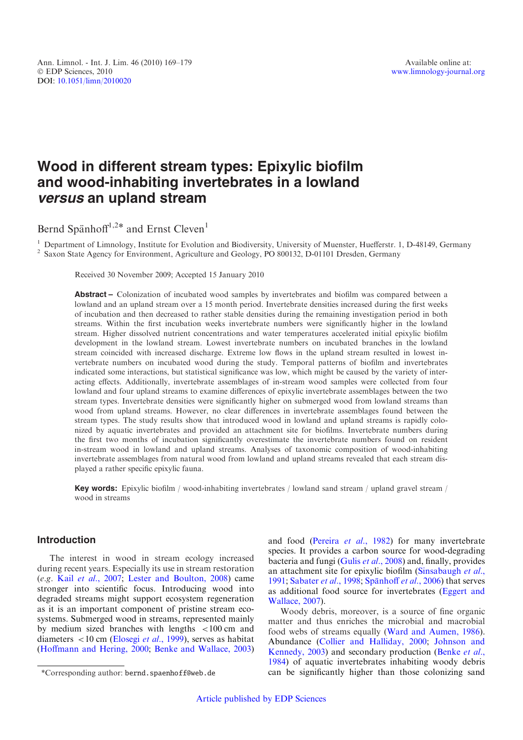# Wood in different stream types: Epixylic biofilm and wood-inhabiting invertebrates in a lowland versus an upland stream

Bernd Spänhoff<sup>1,2\*</sup> and Ernst Cleven<sup>1</sup>

<sup>1</sup> Department of Limnology, Institute for Evolution and Biodiversity, University of Muenster, Huefferstr. 1, D-48149, Germany <sup>2</sup> Saxon State Agency for Environment, Agriculture and Geology, PO 800132, D-01101 Dresden, Ge

Received 30 November 2009; Accepted 15 January 2010

Abstract – Colonization of incubated wood samples by invertebrates and biofilm was compared between a lowland and an upland stream over a 15 month period. Invertebrate densities increased during the first weeks of incubation and then decreased to rather stable densities during the remaining investigation period in both streams. Within the first incubation weeks invertebrate numbers were significantly higher in the lowland stream. Higher dissolved nutrient concentrations and water temperatures accelerated initial epixylic biofilm development in the lowland stream. Lowest invertebrate numbers on incubated branches in the lowland stream coincided with increased discharge. Extreme low flows in the upland stream resulted in lowest invertebrate numbers on incubated wood during the study. Temporal patterns of biofilm and invertebrates indicated some interactions, but statistical significance was low, which might be caused by the variety of interacting effects. Additionally, invertebrate assemblages of in-stream wood samples were collected from four lowland and four upland streams to examine differences of epixylic invertebrate assemblages between the two stream types. Invertebrate densities were significantly higher on submerged wood from lowland streams than wood from upland streams. However, no clear differences in invertebrate assemblages found between the stream types. The study results show that introduced wood in lowland and upland streams is rapidly colonized by aquatic invertebrates and provided an attachment site for biofilms. Invertebrate numbers during the first two months of incubation significantly overestimate the invertebrate numbers found on resident in-stream wood in lowland and upland streams. Analyses of taxonomic composition of wood-inhabiting invertebrate assemblages from natural wood from lowland and upland streams revealed that each stream displayed a rather specific epixylic fauna.

Key words: Epixylic biofilm / wood-inhabiting invertebrates / lowland sand stream / upland gravel stream / wood in streams

# Introduction

The interest in wood in stream ecology increased during recent years. Especially its use in stream restoration (e.g. Kail et al.[, 2007;](#page-10-0) [Lester and Boulton, 2008\)](#page-10-0) came stronger into scientific focus. Introducing wood into degraded streams might support ecosystem regeneration as it is an important component of pristine stream ecosystems. Submerged wood in streams, represented mainly by medium sized branches with lengths <100 cm and diameters  $\langle 10 \text{ cm} \times (10 \text{ kg}) \rangle$  et al., 1999), serves as habitat ([Hoffmann and Hering, 2000;](#page-9-0) [Benke and Wallace, 2003](#page-9-0))

and food ([Pereira](#page-10-0) et al., 1982) for many invertebrate species. It provides a carbon source for wood-degrading bacteria and fungi (Gulis et al.[, 2008\)](#page-9-0) and, finally, provides an attachment site for epixylic biofilm [\(Sinsabaugh](#page-10-0) et al., [1991](#page-10-0); [Sabater](#page-10-0) et al., 1998; Spänhoff et al., 2006) that serves as additional food source for invertebrates ([Eggert and](#page-9-0) [Wallace, 2007\)](#page-9-0).

Woody debris, moreover, is a source of fine organic matter and thus enriches the microbial and macrobial food webs of streams equally [\(Ward and Aumen, 1986](#page-10-0)). Abundance [\(Collier and Halliday, 2000](#page-9-0); [Johnson and](#page-10-0) [Kennedy, 2003\)](#page-10-0) and secondary production [\(Benke](#page-9-0) et al., [1984](#page-9-0)) of aquatic invertebrates inhabiting woody debris \*Corresponding author: bernd.spaenhoff@web.de can be significantly higher than those colonizing sand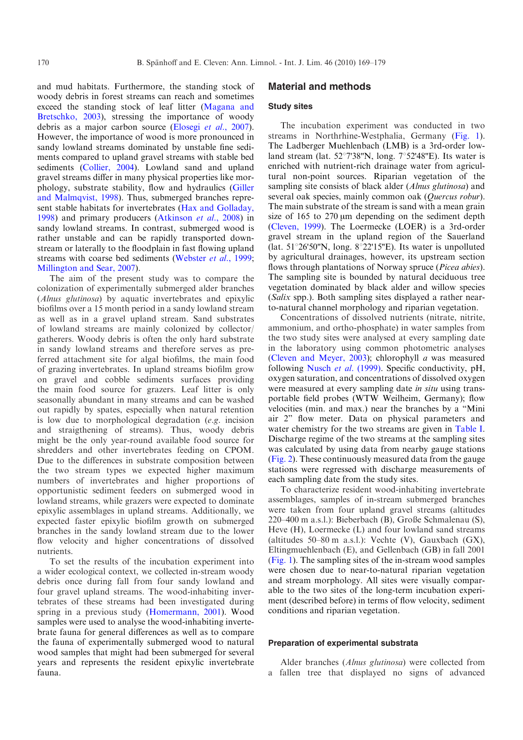and mud habitats. Furthermore, the standing stock of woody debris in forest streams can reach and sometimes exceed the standing stock of leaf litter [\(Magana and](#page-10-0) [Bretschko, 2003](#page-10-0)), stressing the importance of woody debris as a major carbon source [\(Elosegi](#page-9-0) et al., 2007). However, the importance of wood is more pronounced in sandy lowland streams dominated by unstable fine sediments compared to upland gravel streams with stable bed sediments ([Collier, 2004](#page-9-0)). Lowland sand and upland gravel streams differ in many physical properties like morphology, substrate stability, flow and hydraulics ([Giller](#page-9-0) [and Malmqvist, 1998](#page-9-0)). Thus, submerged branches represent stable habitats for invertebrates [\(Hax and Golladay,](#page-9-0) [1998](#page-9-0)) and primary producers ([Atkinson](#page-9-0) et al., 2008) in sandy lowland streams. In contrast, submerged wood is rather unstable and can be rapidly transported downstream or laterally to the floodplain in fast flowing upland streams with coarse bed sediments ([Webster](#page-10-0) *et al.*, 1999; [Millington and Sear, 2007](#page-10-0)).

The aim of the present study was to compare the colonization of experimentally submerged alder branches (Alnus glutinosa) by aquatic invertebrates and epixylic biofilms over a 15 month period in a sandy lowland stream as well as in a gravel upland stream. Sand substrates of lowland streams are mainly colonized by collector/ gatherers. Woody debris is often the only hard substrate in sandy lowland streams and therefore serves as preferred attachment site for algal biofilms, the main food of grazing invertebrates. In upland streams biofilm grow on gravel and cobble sediments surfaces providing the main food source for grazers. Leaf litter is only seasonally abundant in many streams and can be washed out rapidly by spates, especially when natural retention is low due to morphological degradation (e.g. incision and straigthening of streams). Thus, woody debris might be the only year-round available food source for shredders and other invertebrates feeding on CPOM. Due to the differences in substrate composition between the two stream types we expected higher maximum numbers of invertebrates and higher proportions of opportunistic sediment feeders on submerged wood in lowland streams, while grazers were expected to dominate epixylic assemblages in upland streams. Additionally, we expected faster epixylic biofilm growth on submerged branches in the sandy lowland stream due to the lower flow velocity and higher concentrations of dissolved nutrients.

To set the results of the incubation experiment into a wider ecological context, we collected in-stream woody debris once during fall from four sandy lowland and four gravel upland streams. The wood-inhabiting invertebrates of these streams had been investigated during spring in a previous study [\(Homermann, 2001](#page-10-0)). Wood samples were used to analyse the wood-inhabiting invertebrate fauna for general differences as well as to compare the fauna of experimentally submerged wood to natural wood samples that might had been submerged for several years and represents the resident epixylic invertebrate fauna.

## Material and methods

# Study sites

The incubation experiment was conducted in two streams in Northrhine-Westphalia, Germany ([Fig. 1](#page-2-0)). The Ladberger Muehlenbach (LMB) is a 3rd-order lowland stream (lat.  $52^{\circ}7'38''N$ , long.  $7^{\circ}52'48''E$ ). Its water is enriched with nutrient-rich drainage water from agricultural non-point sources. Riparian vegetation of the sampling site consists of black alder (Alnus glutinosa) and several oak species, mainly common oak (Quercus robur). The main substrate of the stream is sand with a mean grain size of 165 to  $270 \mu m$  depending on the sediment depth ([Cleven, 1999](#page-9-0)). The Loermecke (LOER) is a 3rd-order gravel stream in the upland region of the Sauerland (lat.  $51^{\circ}26'50''N$ , long.  $8^{\circ}22'15''E$ ). Its water is unpolluted by agricultural drainages, however, its upstream section flows through plantations of Norway spruce (Picea abies). The sampling site is bounded by natural deciduous tree vegetation dominated by black alder and willow species (Salix spp.). Both sampling sites displayed a rather nearto-natural channel morphology and riparian vegetation.

Concentrations of dissolved nutrients (nitrate, nitrite, ammonium, and ortho-phosphate) in water samples from the two study sites were analysed at every sampling date in the laboratory using common photometric analyses ([Cleven and Meyer, 2003](#page-9-0)); chlorophyll a was measured following [Nusch](#page-10-0) et al. (1999). Specific conductivity, pH, oxygen saturation, and concentrations of dissolved oxygen were measured at every sampling date in situ using transportable field probes (WTW Weilheim, Germany); flow velocities (min. and max.) near the branches by a "Mini air 2" flow meter. Data on physical parameters and water chemistry for the two streams are given in [Table I.](#page-2-0) Discharge regime of the two streams at the sampling sites was calculated by using data from nearby gauge stations ([Fig. 2\)](#page-4-0). These continuously measured data from the gauge stations were regressed with discharge measurements of each sampling date from the study sites.

To characterize resident wood-inhabiting invertebrate assemblages, samples of in-stream submerged branches were taken from four upland gravel streams (altitudes 220–400 m a.s.l.): Bieberbach (B), Große Schmalenau (S), Heve (H), Loermecke (L) and four lowland sand streams (altitudes  $50-80$  m a.s.l.): Vechte (V), Gauxbach (GX), Eltingmuehlenbach (E), and Gellenbach (GB) in fall 2001 ([Fig. 1](#page-2-0)). The sampling sites of the in-stream wood samples were chosen due to near-to-natural riparian vegetation and stream morphology. All sites were visually comparable to the two sites of the long-term incubation experiment (described before) in terms of flow velocity, sediment conditions and riparian vegetation.

#### Preparation of experimental substrata

Alder branches (Alnus glutinosa) were collected from a fallen tree that displayed no signs of advanced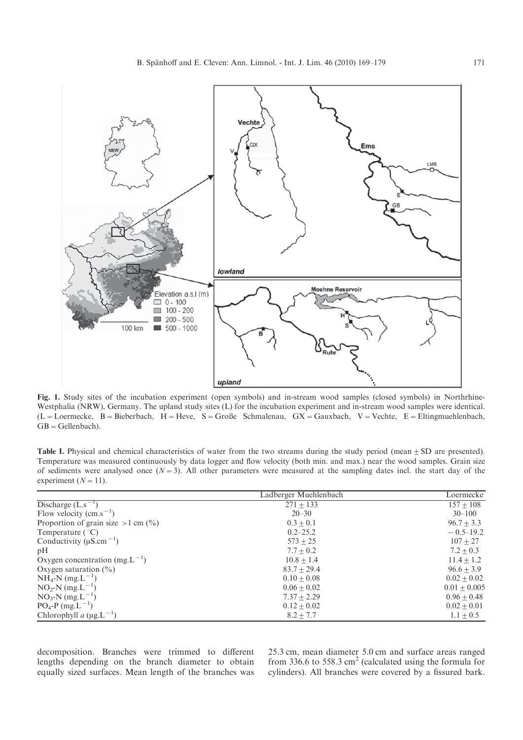<span id="page-2-0"></span>

Fig. 1. Study sites of the incubation experiment (open symbols) and in-stream wood samples (closed symbols) in Northrhine-Westphalia (NRW), Germany. The upland study sites (L) for the incubation experiment and in-stream wood samples were identical.  $(L = L$ oermecke,  $B = B$ ieberbach,  $H = Heve$ ,  $S = Gr$ oße Schmalenau,  $GX = Gaux$ bach,  $V = V$ echte,  $E = Eltingmuehlenbach$ ,  $GB = Gellenbach$ ).

Table I. Physical and chemical characteristics of water from the two streams during the study period (mean  $\pm$  SD are presented). Temperature was measured continuously by data logger and flow velocity (both min. and max.) near the wood samples. Grain size of sediments were analysed once  $(N=3)$ . All other parameters were measured at the sampling dates incl. the start day of the experiment  $(N=11)$ .

|                                            | Ladberger Muehlenbach | Loermecke      |  |
|--------------------------------------------|-----------------------|----------------|--|
| Discharge $(L.s^{-1})$                     | $271 + 133$           | $157 + 108$    |  |
| Flow velocity $\rm (cm.s^{-1})$            | $20 - 30$             | $30 - 100$     |  |
| Proportion of grain size $>1$ cm $(\% )$   | $0.3 + 0.1$           | $96.7 + 3.3$   |  |
| Temperature $(^{\circ}C)$                  | $0.2 - 25.2$          | $-0.5-19.2$    |  |
| Conductivity ( $\mu$ S.cm <sup>-1</sup> )  | $573 + 25$            | $107 + 27$     |  |
| pH                                         | $7.7 + 0.2$           | $7.2 + 0.3$    |  |
| Oxygen concentration (mg.L <sup>-1</sup> ) | $10.8 + 1.4$          | $11.4 + 1.2$   |  |
| Oxygen saturation $(\% )$                  | $83.7 + 29.4$         | $96.6 + 3.9$   |  |
| $NH_4-N$ (mg. $L^{-1}$ )                   | $0.10 + 0.08$         | $0.02 + 0.02$  |  |
| $NO_2-N$ (mg. L <sup>-1</sup> )            | $0.06 + 0.02$         | $0.01 + 0.005$ |  |
| $NO_3-N$ (mg. L <sup>-1</sup> )            | $7.37 + 2.29$         | $0.96 + 0.48$  |  |
| $PO_4$ -P (mg.L <sup>-1</sup> )            | $0.12 \pm 0.02$       | $0.02 + 0.01$  |  |
| Chlorophyll a $(\mu g.L^{-1})$             | $8.2 + 7.7$           | $1.1 + 0.5$    |  |

decomposition. Branches were trimmed to different lengths depending on the branch diameter to obtain equally sized surfaces. Mean length of the branches was 25.3 cm, mean diameter 5.0 cm and surface areas ranged from 336.6 to 558.3  $\text{cm}^2$  (calculated using the formula for cylinders). All branches were covered by a fissured bark.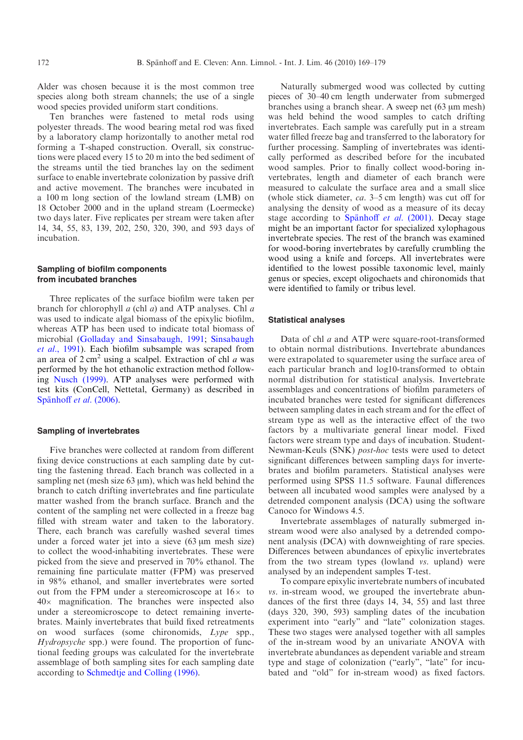Alder was chosen because it is the most common tree species along both stream channels; the use of a single wood species provided uniform start conditions.

Ten branches were fastened to metal rods using polyester threads. The wood bearing metal rod was fixed by a laboratory clamp horizontally to another metal rod forming a T-shaped construction. Overall, six constructions were placed every 15 to 20 m into the bed sediment of the streams until the tied branches lay on the sediment surface to enable invertebrate colonization by passive drift and active movement. The branches were incubated in a 100 m long section of the lowland stream (LMB) on 18 October 2000 and in the upland stream (Loermecke) two days later. Five replicates per stream were taken after 14, 34, 55, 83, 139, 202, 250, 320, 390, and 593 days of incubation.

## Sampling of biofilm components from incubated branches

Three replicates of the surface biofilm were taken per branch for chlorophyll a (chl a) and ATP analyses. Chl a was used to indicate algal biomass of the epixylic biofilm, whereas ATP has been used to indicate total biomass of microbial ([Golladay and Sinsabaugh, 1991](#page-9-0); [Sinsabaugh](#page-10-0) et al.[, 1991\)](#page-10-0). Each biofilm subsample was scraped from an area of  $2 \text{ cm}^2$  using a scalpel. Extraction of chl *a* was performed by the hot ethanolic extraction method following [Nusch \(1999\)](#page-10-0). ATP analyses were performed with test kits (ConCell, Nettetal, Germany) as described in Spänhoff et al. (2006).

#### Sampling of invertebrates

Five branches were collected at random from different fixing device constructions at each sampling date by cutting the fastening thread. Each branch was collected in a sampling net (mesh size  $63 \mu m$ ), which was held behind the branch to catch drifting invertebrates and fine particulate matter washed from the branch surface. Branch and the content of the sampling net were collected in a freeze bag filled with stream water and taken to the laboratory. There, each branch was carefully washed several times under a forced water jet into a sieve  $(63 \mu m \text{ mesh size})$ to collect the wood-inhabiting invertebrates. These were picked from the sieve and preserved in 70% ethanol. The remaining fine particulate matter (FPM) was preserved in 98% ethanol, and smaller invertebrates were sorted out from the FPM under a stereomicroscope at  $16\times$  to  $40\times$  magnification. The branches were inspected also under a stereomicroscope to detect remaining invertebrates. Mainly invertebrates that build fixed retreatments on wood surfaces (some chironomids, Lype spp., Hydropsyche spp.) were found. The proportion of functional feeding groups was calculated for the invertebrate assemblage of both sampling sites for each sampling date according to [Schmedtje and Colling \(1996\)](#page-10-0).

Naturally submerged wood was collected by cutting pieces of 30–40 cm length underwater from submerged branches using a branch shear. A sweep net  $(63 \mu m \text{ mesh})$ was held behind the wood samples to catch drifting invertebrates. Each sample was carefully put in a stream water filled freeze bag and transferred to the laboratory for further processing. Sampling of invertebrates was identically performed as described before for the incubated wood samples. Prior to finally collect wood-boring invertebrates, length and diameter of each branch were measured to calculate the surface area and a small slice (whole stick diameter, ca. 3–5 cm length) was cut off for analysing the density of wood as a measure of its decay stage according to Spänhoff et al.  $(2001)$ . Decay stage might be an important factor for specialized xylophagous invertebrate species. The rest of the branch was examined for wood-boring invertebrates by carefully crumbling the wood using a knife and forceps. All invertebrates were identified to the lowest possible taxonomic level, mainly genus or species, except oligochaets and chironomids that were identified to family or tribus level.

#### Statistical analyses

Data of chl a and ATP were square-root-transformed to obtain normal distributions. Invertebrate abundances were extrapolated to squaremeter using the surface area of each particular branch and log10-transformed to obtain normal distribution for statistical analysis. Invertebrate assemblages and concentrations of biofilm parameters of incubated branches were tested for significant differences between sampling dates in each stream and for the effect of stream type as well as the interactive effect of the two factors by a multivariate general linear model. Fixed factors were stream type and days of incubation. Student-Newman-Keuls (SNK) post-hoc tests were used to detect significant differences between sampling days for invertebrates and biofilm parameters. Statistical analyses were performed using SPSS 11.5 software. Faunal differences between all incubated wood samples were analysed by a detrended component analysis (DCA) using the software Canoco for Windows 4.5.

Invertebrate assemblages of naturally submerged instream wood were also analysed by a detrended component analysis (DCA) with downweighting of rare species. Differences between abundances of epixylic invertebrates from the two stream types (lowland vs. upland) were analysed by an independent samples T-test.

To compare epixylic invertebrate numbers of incubated vs. in-stream wood, we grouped the invertebrate abundances of the first three (days 14, 34, 55) and last three (days 320, 390, 593) sampling dates of the incubation experiment into "early" and "late" colonization stages. These two stages were analysed together with all samples of the in-stream wood by an univariate ANOVA with invertebrate abundances as dependent variable and stream type and stage of colonization ("early", "late" for incubated and "old" for in-stream wood) as fixed factors.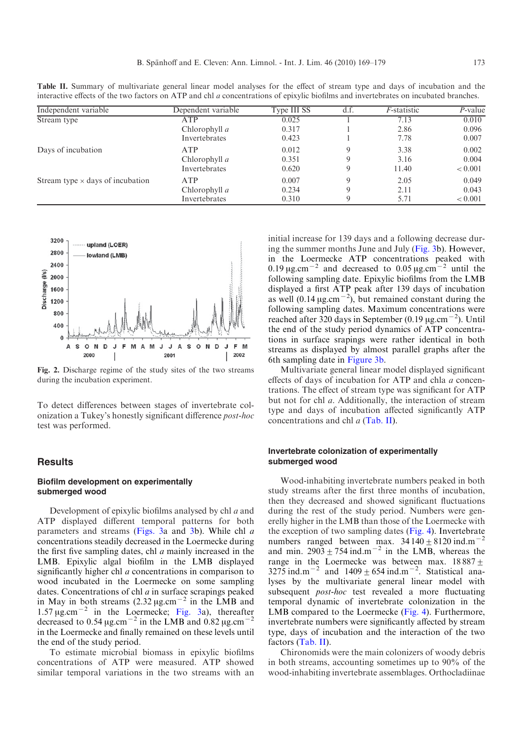| Independent variable                    | Dependent variable | Type III SS | d.f.        | <i>F</i> -statistic | P-value |
|-----------------------------------------|--------------------|-------------|-------------|---------------------|---------|
| Stream type                             | ATP                | 0.025       |             | 7.13                | 0.010   |
|                                         | Chlorophyll $a$    | 0.317       |             | 2.86                | 0.096   |
|                                         | Invertebrates      | 0.423       |             | 7.78                | 0.007   |
| Days of incubation                      | <b>ATP</b>         | 0.012       | 9           | 3.38                | 0.002   |
|                                         | Chlorophyll a      | 0.351       | 9           | 3.16                | 0.004   |
|                                         | Invertebrates      | 0.620       | 9           | 11.40               | < 0.001 |
| Stream type $\times$ days of incubation | <b>ATP</b>         | 0.007       | $\mathbf Q$ | 2.05                | 0.049   |
|                                         | Chlorophyll $a$    | 0.234       | 9           | 2.11                | 0.043   |
|                                         | Invertebrates      | 0.310       | 9           | 5.71                | < 0.001 |

<span id="page-4-0"></span>Table II. Summary of multivariate general linear model analyses for the effect of stream type and days of incubation and the interactive effects of the two factors on ATP and chl a concentrations of epixylic biofilms and invertebrates on incubated branches.



Fig. 2. Discharge regime of the study sites of the two streams during the incubation experiment.

To detect differences between stages of invertebrate colonization a Tukey's honestly significant difference post-hoc test was performed.

# **Results**

## Biofilm development on experimentally submerged wood

Development of epixylic biofilms analysed by chl a and ATP displayed different temporal patterns for both parameters and streams ([Figs. 3](#page-5-0)a and [3](#page-5-0)b). While chl a concentrations steadily decreased in the Loermecke during the first five sampling dates, chl  $a$  mainly increased in the LMB. Epixylic algal biofilm in the LMB displayed significantly higher chl *a* concentrations in comparison to wood incubated in the Loermecke on some sampling dates. Concentrations of chl a in surface scrapings peaked in May in both streams  $(2.32 \,\mu g.cm^{-2})$  in the LMB and 1.57  $\mu$ g.cm<sup>-2</sup> in the Loermecke; [Fig. 3a](#page-5-0)), thereafter decreased to 0.54  $\mu$ g.cm<sup>-2</sup> in the LMB and 0.82  $\mu$ g.cm<sup>-</sup> in the Loermecke and finally remained on these levels until the end of the study period.

To estimate microbial biomass in epixylic biofilms concentrations of ATP were measured. ATP showed similar temporal variations in the two streams with an

initial increase for 139 days and a following decrease during the summer months June and July ([Fig. 3](#page-5-0)b). However, in the Loermecke ATP concentrations peaked with 0.19  $\mu$ g.cm<sup>-2</sup> and decreased to 0.05  $\mu$ g.cm<sup>-2</sup> until the following sampling date. Epixylic biofilms from the LMB displayed a first ATP peak after 139 days of incubation as well  $(0.14 \,\mu g.cm^{-2})$ , but remained constant during the following sampling dates. Maximum concentrations were reached after 320 days in September (0.19  $\mu$ g.cm<sup>-2</sup>). Until the end of the study period dynamics of ATP concentrations in surface srapings were rather identical in both streams as displayed by almost parallel graphs after the 6th sampling date in [Figure 3b](#page-5-0).

Multivariate general linear model displayed significant effects of days of incubation for ATP and chla a concentrations. The effect of stream type was significant for ATP but not for chl a. Additionally, the interaction of stream type and days of incubation affected significantly ATP concentrations and chl a (Tab. II).

#### Invertebrate colonization of experimentally submerged wood

Wood-inhabiting invertebrate numbers peaked in both study streams after the first three months of incubation, then they decreased and showed significant fluctuations during the rest of the study period. Numbers were generelly higher in the LMB than those of the Loermecke with the exception of two sampling dates [\(Fig. 4](#page-5-0)). Invertebrate numbers ranged between max.  $34140 \pm 8120$  ind.m<sup>-1</sup> and min.  $2903 \pm 754$  ind.m<sup>-2</sup> in the LMB, whereas the range in the Loermecke was between max.  $18887 \pm$ 3275 ind.m<sup>-2</sup> and  $1409 \pm 654$  ind.m<sup>-2</sup>. Statistical analyses by the multivariate general linear model with subsequent *post-hoc* test revealed a more fluctuating temporal dynamic of invertebrate colonization in the LMB compared to the Loermecke [\(Fig. 4\)](#page-5-0). Furthermore, invertebrate numbers were significantly affected by stream type, days of incubation and the interaction of the two factors (Tab. II).

Chironomids were the main colonizers of woody debris in both streams, accounting sometimes up to 90% of the wood-inhabiting invertebrate assemblages. Orthocladiinae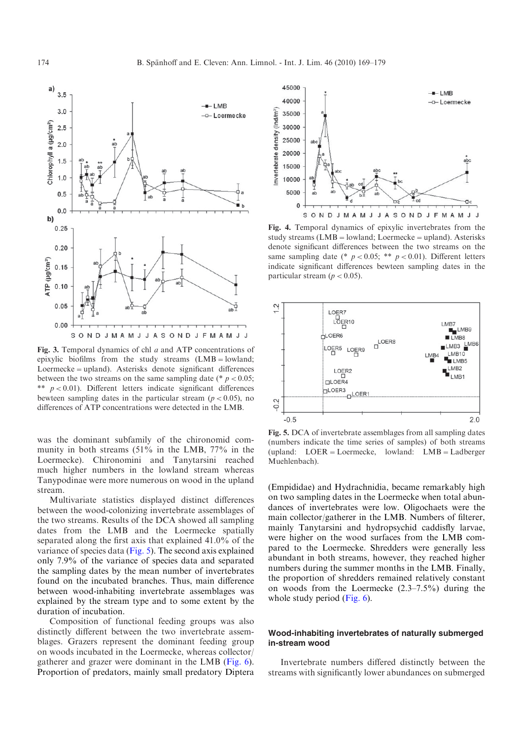<span id="page-5-0"></span>

Fig. 3. Temporal dynamics of chl a and ATP concentrations of epixylic biofilms from the study streams  $(LMB =$ lowland; Loermecke=upland). Asterisks denote significant differences between the two streams on the same sampling date (\*  $p < 0.05$ ; \*\*  $p < 0.01$ ). Different letters indicate significant differences bewteen sampling dates in the particular stream ( $p < 0.05$ ), no differences of ATP concentrations were detected in the LMB.

was the dominant subfamily of the chironomid community in both streams (51% in the LMB, 77% in the Loermecke). Chironomini and Tanytarsini reached much higher numbers in the lowland stream whereas Tanypodinae were more numerous on wood in the upland stream.

Multivariate statistics displayed distinct differences between the wood-colonizing invertebrate assemblages of the two streams. Results of the DCA showed all sampling dates from the LMB and the Loermecke spatially separated along the first axis that explained 41.0% of the variance of species data (Fig. 5). The second axis explained only 7.9% of the variance of species data and separated the sampling dates by the mean number of invertebrates found on the incubated branches. Thus, main difference between wood-inhabiting invertebrate assemblages was explained by the stream type and to some extent by the duration of incubation.

Composition of functional feeding groups was also distinctly different between the two invertebrate assemblages. Grazers represent the dominant feeding group on woods incubated in the Loermecke, whereas collector/ gatherer and grazer were dominant in the LMB ([Fig. 6](#page-6-0)). Proportion of predators, mainly small predatory Diptera



Fig. 4. Temporal dynamics of epixylic invertebrates from the study streams  $(LMB =$ lowland; Loermecke = upland). Asterisks denote significant differences between the two streams on the same sampling date (\*  $p < 0.05$ ; \*\*  $p < 0.01$ ). Different letters indicate significant differences bewteen sampling dates in the particular stream ( $p < 0.05$ ).



Fig. 5. DCA of invertebrate assemblages from all sampling dates (numbers indicate the time series of samples) of both streams (upland: LOER=Loermecke, lowland: LMB=Ladberger Muehlenbach).

(Empididae) and Hydrachnidia, became remarkably high on two sampling dates in the Loermecke when total abundances of invertebrates were low. Oligochaets were the main collector/gatherer in the LMB. Numbers of filterer, mainly Tanytarsini and hydropsychid caddisfly larvae, were higher on the wood surfaces from the LMB compared to the Loermecke. Shredders were generally less abundant in both streams, however, they reached higher numbers during the summer months in the LMB. Finally, the proportion of shredders remained relatively constant on woods from the Loermecke (2.3–7.5%) during the whole study period ([Fig. 6\)](#page-6-0).

#### Wood-inhabiting invertebrates of naturally submerged in-stream wood

Invertebrate numbers differed distinctly between the streams with significantly lower abundances on submerged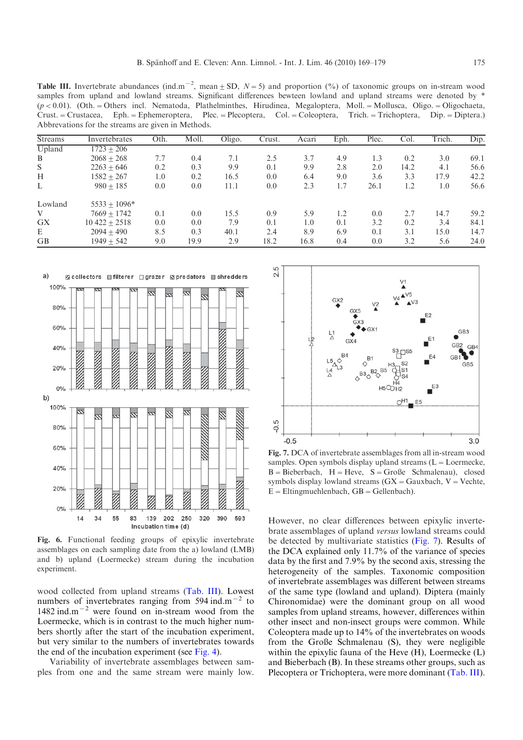<span id="page-6-0"></span>Table III. Invertebrate abundances (ind.m<sup>-2</sup>, mean  $\pm$  SD, N = 5) and proportion (%) of taxonomic groups on in-stream wood samples from upland and lowland streams. Significant differences bewteen lowland and upland streams were denoted by \*  $(p < 0.01)$ . (Oth. = Others incl. Nematoda, Plathelminthes, Hirudinea, Megaloptera, Moll. = Mollusca, Oligo. = Oligochaeta, Crust.=Crustacea, Eph.=Ephemeroptera, Plec.=Plecoptera, Col.=Coleoptera, Trich.=Trichoptera, Dip.=Diptera.) Abbrevations for the streams are given in Methods.

| <b>Streams</b> | Invertebrates    | Oth. | Moll. | Oligo. | Crust. | Acari | Eph. | Plec. | Col. | Trich. | Dip. |
|----------------|------------------|------|-------|--------|--------|-------|------|-------|------|--------|------|
| Upland         | $1723 + 206$     |      |       |        |        |       |      |       |      |        |      |
| B              | $2068 + 268$     | 7.7  | 0.4   | 7.1    | 2.5    | 3.7   | 4.9  | 1.3   | 0.2  | 3.0    | 69.1 |
| S              | $2263 + 646$     | 0.2  | 0.3   | 9.9    | 0.1    | 9.9   | 2.8  | 2.0   | 14.2 | 4.1    | 56.6 |
| H              | $1582 + 267$     | 1.0  | 0.2   | 16.5   | 0.0    | 6.4   | 9.0  | 3.6   | 3.3  | 17.9   | 42.2 |
| L              | $980 + 185$      | 0.0  | 0.0   | 11.1   | 0.0    | 2.3   | 1.7  | 26.1  | 1.2  | 1.0    | 56.6 |
| Lowland        | $5533 + 1096*$   |      |       |        |        |       |      |       |      |        |      |
| V              | $7669 + 1742$    | 0.1  | 0.0   | 15.5   | 0.9    | 5.9   | 1.2  | 0.0   | 2.7  | 14.7   | 59.2 |
| <b>GX</b>      | $10\,422 + 2518$ | 0.0  | 0.0   | 7.9    | 0.1    | 1.0   | 0.1  | 3.2   | 0.2  | 3.4    | 84.1 |
| E              | $2094 + 490$     | 8.5  | 0.3   | 40.1   | 2.4    | 8.9   | 6.9  | 0.1   | 3.1  | 15.0   | 14.7 |
| <b>GB</b>      | $1949 + 542$     | 9.0  | 19.9  | 2.9    | 18.2   | 16.8  | 0.4  | 0.0   | 3.2  | 5.6    | 24.0 |



Fig. 6. Functional feeding groups of epixylic invertebrate assemblages on each sampling date from the a) lowland (LMB) and b) upland (Loermecke) stream during the incubation experiment.

wood collected from upland streams (Tab. III). Lowest numbers of invertebrates ranging from 594 ind.m<sup> $-2$ </sup> to 1482 ind.m<sup> $-2$ </sup> were found on in-stream wood from the Loermecke, which is in contrast to the much higher numbers shortly after the start of the incubation experiment, but very similar to the numbers of invertebrates towards the end of the incubation experiment (see [Fig. 4\)](#page-5-0).

Variability of invertebrate assemblages between samples from one and the same stream were mainly low.



Fig. 7. DCA of invertebrate assemblages from all in-stream wood samples. Open symbols display upland streams  $(L = L$ oermecke,  $B = B$ ieberbach,  $H = Heve$ ,  $S = GroBe$  Schmalenau), closed symbols display lowland streams  $(GX = Gauxbach, V = Vechte,$  $E =$ Eltingmuehlenbach,  $GB =$ Gellenbach).

However, no clear differences between epixylic invertebrate assemblages of upland versus lowland streams could be detected by multivariate statistics (Fig. 7). Results of the DCA explained only 11.7% of the variance of species data by the first and 7.9% by the second axis, stressing the heterogeneity of the samples. Taxonomic composition of invertebrate assemblages was different between streams of the same type (lowland and upland). Diptera (mainly Chironomidae) were the dominant group on all wood samples from upland streams, however, differences within other insect and non-insect groups were common. While Coleoptera made up to 14% of the invertebrates on woods from the Große Schmalenau (S), they were negligible within the epixylic fauna of the Heve (H), Loermecke (L) and Bieberbach (B). In these streams other groups, such as Plecoptera or Trichoptera, were more dominant (Tab. III).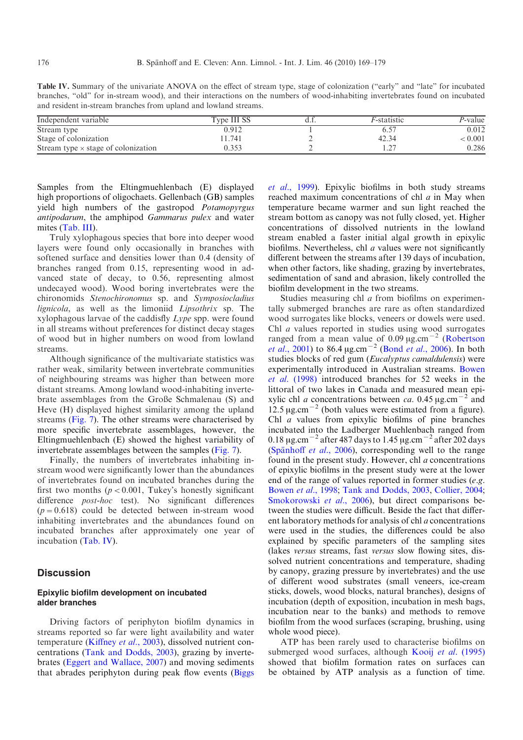| Table IV. Summary of the univariate ANOVA on the effect of stream type, stage of colonization ("early" and "late" for incubated |  |  |  |  |
|---------------------------------------------------------------------------------------------------------------------------------|--|--|--|--|
| branches, "old" for in-stream wood), and their interactions on the numbers of wood-inhabiting invertebrates found on incubated  |  |  |  |  |
| and resident in-stream branches from upland and lowland streams.                                                                |  |  |  |  |

| Independent variable                       | Type III SS | <i>F</i> -statistic | P-value          |
|--------------------------------------------|-------------|---------------------|------------------|
| Stream type                                | 0.912       |                     | 0.012            |
| Stage of colonization                      | 1.741       | 42.34               | $\epsilon$ 0.001 |
| Stream type $\times$ stage of colonization |             |                     | 0.286            |

Samples from the Eltingmuehlenbach (E) displayed high proportions of oligochaets. Gellenbach (GB) samples yield high numbers of the gastropod Potamopyrgus antipodarum, the amphipod Gammarus pulex and water mites ([Tab. III\)](#page-6-0).

Truly xylophagous species that bore into deeper wood layers were found only occasionally in branches with softened surface and densities lower than 0.4 (density of branches ranged from 0.15, representing wood in advanced state of decay, to 0.56, representing almost undecayed wood). Wood boring invertebrates were the chironomids Stenochironomus sp. and Symposiocladius lignicola, as well as the limoniid Lipsothrix sp. The xylophagous larvae of the caddisfly Lype spp. were found in all streams without preferences for distinct decay stages of wood but in higher numbers on wood from lowland streams.

Although significance of the multivariate statistics was rather weak, similarity between invertebrate communities of neighbouring streams was higher than between more distant streams. Among lowland wood-inhabiting invertebrate assemblages from the Große Schmalenau (S) and Heve (H) displayed highest similarity among the upland streams [\(Fig. 7](#page-6-0)). The other streams were characterised by more specific invertebrate assemblages, however, the Eltingmuehlenbach (E) showed the highest variability of invertebrate assemblages between the samples [\(Fig. 7](#page-6-0)).

Finally, the numbers of invertebrates inhabiting instream wood were significantly lower than the abundances of invertebrates found on incubated branches during the first two months ( $p < 0.001$ , Tukey's honestly significant difference *post-hoc* test). No significant differences  $(p=0.618)$  could be detected between in-stream wood inhabiting invertebrates and the abundances found on incubated branches after approximately one year of incubation (Tab. IV).

## **Discussion**

## Epixylic biofilm development on incubated alder branches

Driving factors of periphyton biofilm dynamics in streams reported so far were light availability and water temperature [\(Kiffney](#page-10-0) et al., 2003), dissolved nutrient concentrations ([Tank and Dodds, 2003](#page-10-0)), grazing by invertebrates ([Eggert and Wallace, 2007\)](#page-9-0) and moving sediments that abrades periphyton during peak flow events [\(Biggs](#page-9-0) et al.[, 1999\)](#page-9-0). Epixylic biofilms in both study streams reached maximum concentrations of chl a in May when temperature became warmer and sun light reached the stream bottom as canopy was not fully closed, yet. Higher concentrations of dissolved nutrients in the lowland stream enabled a faster initial algal growth in epixylic biofilms. Nevertheless, chl  $\alpha$  values were not significantly different between the streams after 139 days of incubation, when other factors, like shading, grazing by invertebrates, sedimentation of sand and abrasion, likely controlled the biofilm development in the two streams.

Studies measuring chl *a* from biofilms on experimentally submerged branches are rare as often standardized wood surrogates like blocks, veneers or dowels were used. Chl a values reported in studies using wood surrogates ranged from a mean value of  $0.09 \mu g.cm^{-2}$  [\(Robertson](#page-10-0) *et al.*[, 2001\)](#page-10-0) to 86.4  $\mu$ g.cm<sup>-2</sup> (Bond *et al.*[, 2006](#page-9-0)). In both studies blocks of red gum (Eucalyptus camaldulensis) were experimentally introduced in Australian streams. [Bowen](#page-9-0) et al. [\(1998\)](#page-9-0) introduced branches for 52 weeks in the littoral of two lakes in Canada and measured mean epixylic chl *a* concentrations between ca. 0.45  $\mu$ g.cm<sup>-2</sup> and 12.5  $\mu$ g.cm<sup>-2</sup> (both values were estimated from a figure). Chl a values from epixylic biofilms of pine branches incubated into the Ladberger Muehlenbach ranged from 0.18  $\mu$ g.cm<sup>-2</sup> after 487 days to 1.45  $\mu$ g.cm<sup>-2</sup> after 202 days (Spänhoff et al., 2006), corresponding well to the range found in the present study. However, chl a concentrations of epixylic biofilms in the present study were at the lower end of the range of values reported in former studies (e.g. [Bowen](#page-9-0) et al., 1998; [Tank and Dodds, 2003,](#page-10-0) [Collier, 2004;](#page-9-0) [Smokorowski](#page-10-0) et al., 2006), but direct comparisons between the studies were difficult. Beside the fact that different laboratory methods for analysis of chl a concentrations were used in the studies, the differences could be also explained by specific parameters of the sampling sites (lakes versus streams, fast versus slow flowing sites, dissolved nutrient concentrations and temperature, shading by canopy, grazing pressure by invertebrates) and the use of different wood substrates (small veneers, ice-cream sticks, dowels, wood blocks, natural branches), designs of incubation (depth of exposition, incubation in mesh bags, incubation near to the banks) and methods to remove biofilm from the wood surfaces (scraping, brushing, using whole wood piece).

ATP has been rarely used to characterise biofilms on submerged wood surfaces, although Kooij et al. [\(1995\)](#page-10-0) showed that biofilm formation rates on surfaces can be obtained by ATP analysis as a function of time.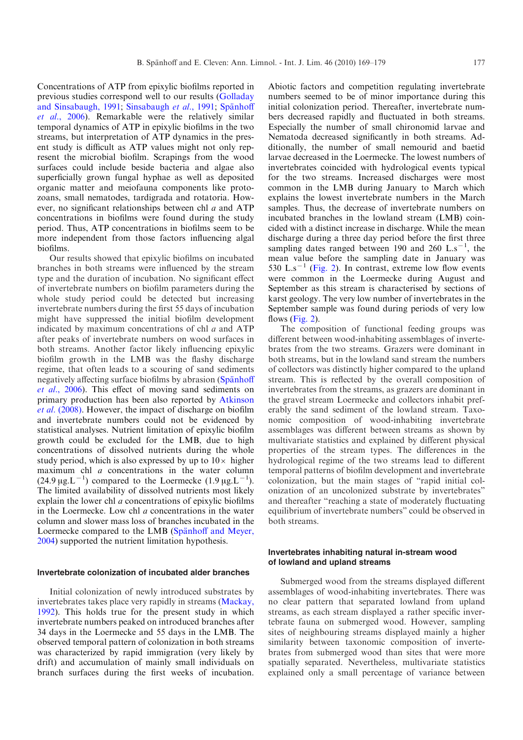Concentrations of ATP from epixylic biofilms reported in previous studies correspond well to our results ([Golladay](#page-9-0) [and Sinsabaugh, 1991](#page-9-0); [Sinsabaugh](#page-10-0) et al., 1991; Spänhoff et al.[, 2006](#page-10-0)). Remarkable were the relatively similar temporal dynamics of ATP in epixylic biofilms in the two streams, but interpretation of ATP dynamics in the present study is difficult as ATP values might not only represent the microbial biofilm. Scrapings from the wood surfaces could include beside bacteria and algae also superficially grown fungal hyphae as well as deposited organic matter and meiofauna components like protozoans, small nematodes, tardigrada and rotatoria. However, no significant relationships between chl a and ATP concentrations in biofilms were found during the study period. Thus, ATP concentrations in biofilms seem to be more independent from those factors influencing algal biofilms.

Our results showed that epixylic biofilms on incubated branches in both streams were influenced by the stream type and the duration of incubation. No significant effect of invertebrate numbers on biofilm parameters during the whole study period could be detected but increasing invertebrate numbers during the first 55 days of incubation might have suppressed the initial biofilm development indicated by maximum concentrations of chl  $a$  and ATP after peaks of invertebrate numbers on wood surfaces in both streams. Another factor likely influencing epixylic biofilm growth in the LMB was the flashy discharge regime, that often leads to a scouring of sand sediments negatively affecting surface biofilms by abrasion (Spanhoff et al.[, 2006](#page-10-0)). This effect of moving sand sediments on primary production has been also reported by [Atkinson](#page-9-0) et al. [\(2008\).](#page-9-0) However, the impact of discharge on biofilm and invertebrate numbers could not be evidenced by statistical analyses. Nutrient limitation of epixylic biofilm growth could be excluded for the LMB, due to high concentrations of dissolved nutrients during the whole study period, which is also expressed by up to  $10\times$  higher maximum chl a concentrations in the water column  $(24.9 \,\mu g.L^{-1})$  compared to the Loermecke  $(1.9 \,\mu g.L^{-1})$ . The limited availability of dissolved nutrients most likely explain the lower chl a concentrations of epixylic biofilms in the Loermecke. Low chl a concentrations in the water column and slower mass loss of branches incubated in the Loermecke compared to the LMB (Spänhoff and Meyer, [2004](#page-10-0)) supported the nutrient limitation hypothesis.

#### Invertebrate colonization of incubated alder branches

Initial colonization of newly introduced substrates by invertebrates takes place very rapidly in streams [\(Mackay,](#page-10-0) [1992](#page-10-0)). This holds true for the present study in which invertebrate numbers peaked on introduced branches after 34 days in the Loermecke and 55 days in the LMB. The observed temporal pattern of colonization in both streams was characterized by rapid immigration (very likely by drift) and accumulation of mainly small individuals on branch surfaces during the first weeks of incubation. Abiotic factors and competition regulating invertebrate numbers seemed to be of minor importance during this initial colonization period. Thereafter, invertebrate numbers decreased rapidly and fluctuated in both streams. Especially the number of small chironomid larvae and Nematoda decreased significantly in both streams. Additionally, the number of small nemourid and baetid larvae decreased in the Loermecke. The lowest numbers of invertebrates coincided with hydrological events typical for the two streams. Increased discharges were most common in the LMB during January to March which explains the lowest invertebrate numbers in the March samples. Thus, the decrease of invertebrate numbers on incubated branches in the lowland stream (LMB) coincided with a distinct increase in discharge. While the mean discharge during a three day period before the first three sampling dates ranged between 190 and 260  $\rm L.s^{-1}$ , the mean value before the sampling date in January was 530 L.s<sup>-1</sup> ([Fig. 2\)](#page-4-0). In contrast, extreme low flow events were common in the Loermecke during August and September as this stream is characterised by sections of karst geology. The very low number of invertebrates in the September sample was found during periods of very low flows [\(Fig. 2](#page-4-0)).

The composition of functional feeding groups was different between wood-inhabiting assemblages of invertebrates from the two streams. Grazers were dominant in both streams, but in the lowland sand stream the numbers of collectors was distinctly higher compared to the upland stream. This is reflected by the overall composition of invertebrates from the streams, as grazers are dominant in the gravel stream Loermecke and collectors inhabit preferably the sand sediment of the lowland stream. Taxonomic composition of wood-inhabiting invertebrate assemblages was different between streams as shown by multivariate statistics and explained by different physical properties of the stream types. The differences in the hydrological regime of the two streams lead to different temporal patterns of biofilm development and invertebrate colonization, but the main stages of "rapid initial colonization of an uncolonized substrate by invertebrates" and thereafter "reaching a state of moderately fluctuating equilibrium of invertebrate numbers" could be observed in both streams.

## Invertebrates inhabiting natural in-stream wood of lowland and upland streams

Submerged wood from the streams displayed different assemblages of wood-inhabiting invertebrates. There was no clear pattern that separated lowland from upland streams, as each stream displayed a rather specific invertebrate fauna on submerged wood. However, sampling sites of neighbouring streams displayed mainly a higher similarity between taxonomic composition of invertebrates from submerged wood than sites that were more spatially separated. Nevertheless, multivariate statistics explained only a small percentage of variance between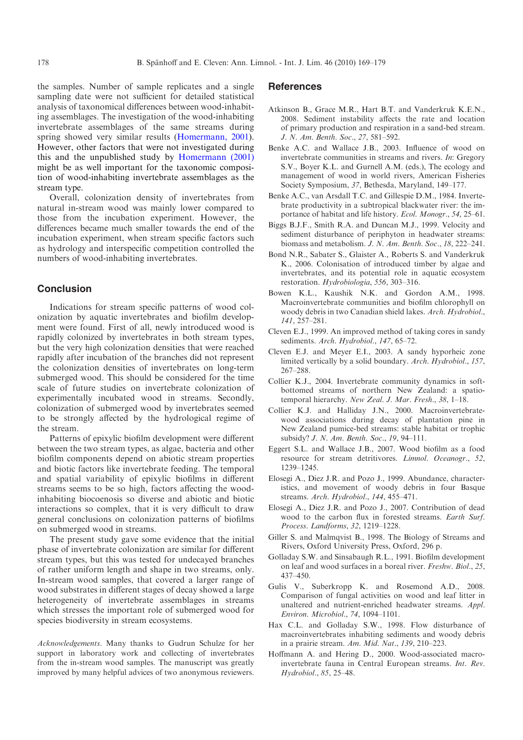<span id="page-9-0"></span>the samples. Number of sample replicates and a single sampling date were not sufficient for detailed statistical analysis of taxonomical differences between wood-inhabiting assemblages. The investigation of the wood-inhabiting invertebrate assemblages of the same streams during spring showed very similar results [\(Homermann, 2001](#page-10-0)). However, other factors that were not investigated during this and the unpublished study by [Homermann \(2001\)](#page-10-0) might be as well important for the taxonomic composition of wood-inhabiting invertebrate assemblages as the stream type.

Overall, colonization density of invertebrates from natural in-stream wood was mainly lower compared to those from the incubation experiment. However, the differences became much smaller towards the end of the incubation experiment, when stream specific factors such as hydrology and interspecific competition controlled the numbers of wood-inhabiting invertebrates.

## Conclusion

Indications for stream specific patterns of wood colonization by aquatic invertebrates and biofilm development were found. First of all, newly introduced wood is rapidly colonized by invertebrates in both stream types, but the very high colonization densities that were reached rapidly after incubation of the branches did not represent the colonization densities of invertebrates on long-term submerged wood. This should be considered for the time scale of future studies on invertebrate colonization of experimentally incubated wood in streams. Secondly, colonization of submerged wood by invertebrates seemed to be strongly affected by the hydrological regime of the stream.

Patterns of epixylic biofilm development were different between the two stream types, as algae, bacteria and other biofilm components depend on abiotic stream properties and biotic factors like invertebrate feeding. The temporal and spatial variability of epixylic biofilms in different streams seems to be so high, factors affecting the woodinhabiting biocoenosis so diverse and abiotic and biotic interactions so complex, that it is very difficult to draw general conclusions on colonization patterns of biofilms on submerged wood in streams.

The present study gave some evidence that the initial phase of invertebrate colonization are similar for different stream types, but this was tested for undecayed branches of rather uniform length and shape in two streams, only. In-stream wood samples, that covered a larger range of wood substrates in different stages of decay showed a large heterogeneity of invertebrate assemblages in streams which stresses the important role of submerged wood for species biodiversity in stream ecosystems.

Acknowledgements. Many thanks to Gudrun Schulze for her support in laboratory work and collecting of invertebrates from the in-stream wood samples. The manuscript was greatly improved by many helpful advices of two anonymous reviewers.

#### **References**

- Atkinson B., Grace M.R., Hart B.T. and Vanderkruk K.E.N., 2008. Sediment instability affects the rate and location of primary production and respiration in a sand-bed stream. J. N. Am. Benth. Soc., 27, 581–592.
- Benke A.C. and Wallace J.B., 2003. Influence of wood on invertebrate communities in streams and rivers. In: Gregory S.V., Boyer K.L. and Gurnell A.M. (eds.), The ecology and management of wood in world rivers, American Fisheries Society Symposium, 37, Bethesda, Maryland, 149–177.
- Benke A.C., van Arsdall T.C. and Gillespie D.M., 1984. Invertebrate productivity in a subtropical blackwater river: the importance of habitat and life history. Ecol. Monogr., 54, 25–61.
- Biggs B.J.F., Smith R.A. and Duncan M.J., 1999. Velocity and sediment disturbance of periphyton in headwater streams: biomass and metabolism. J. N. Am. Benth. Soc., 18, 222–241.
- Bond N.R., Sabater S., Glaister A., Roberts S. and Vanderkruk K., 2006. Colonisation of introduced timber by algae and invertebrates, and its potential role in aquatic ecosystem restoration. Hydrobiologia, 556, 303–316.
- Bowen K.L., Kaushik N.K. and Gordon A.M., 1998. Macroinvertebrate communities and biofilm chlorophyll on woody debris in two Canadian shield lakes. Arch. Hydrobiol., 141, 257–281.
- Cleven E.J., 1999. An improved method of taking cores in sandy sediments. Arch. Hydrobiol., 147, 65-72.
- Cleven E.J. and Meyer E.I., 2003. A sandy hyporheic zone limited vertically by a solid boundary. Arch. Hydrobiol., 157, 267–288.
- Collier K.J., 2004. Invertebrate community dynamics in softbottomed streams of northern New Zealand: a spatiotemporal hierarchy. New Zeal. J. Mar. Fresh., 38, 1–18.
- Collier K.J. and Halliday J.N., 2000. Macroinvertebratewood associations during decay of plantation pine in New Zealand pumice-bed streams: stable habitat or trophic subsidy? J. N. Am. Benth. Soc., 19, 94–111.
- Eggert S.L. and Wallace J.B., 2007. Wood biofilm as a food resource for stream detritivores. Limnol. Oceanogr., 52, 1239–1245.
- Elosegi A., Diez J.R. and Pozo J., 1999. Abundance, characteristics, and movement of woody debris in four Basque streams. Arch. Hydrobiol., 144, 455–471.
- Elosegi A., Diez J.R. and Pozo J., 2007. Contribution of dead wood to the carbon flux in forested streams. Earth Surf. Process. Landforms, 32, 1219–1228.
- Giller S. and Malmqvist B., 1998. The Biology of Streams and Rivers, Oxford University Press, Oxford, 296 p.
- Golladay S.W. and Sinsabaugh R.L., 1991. Biofilm development on leaf and wood surfaces in a boreal river. Freshw. Biol., 25, 437–450.
- Gulis V., Suberkropp K. and Rosemond A.D., 2008. Comparison of fungal activities on wood and leaf litter in unaltered and nutrient-enriched headwater streams. Appl. Environ. Microbiol., 74, 1094–1101.
- Hax C.L. and Golladay S.W., 1998. Flow disturbance of macroinvertebrates inhabiting sediments and woody debris in a prairie stream. Am. Mid. Nat., 139, 210–223.
- Hoffmann A. and Hering D., 2000. Wood-associated macroinvertebrate fauna in Central European streams. Int. Rev. Hydrobiol., 85, 25–48.